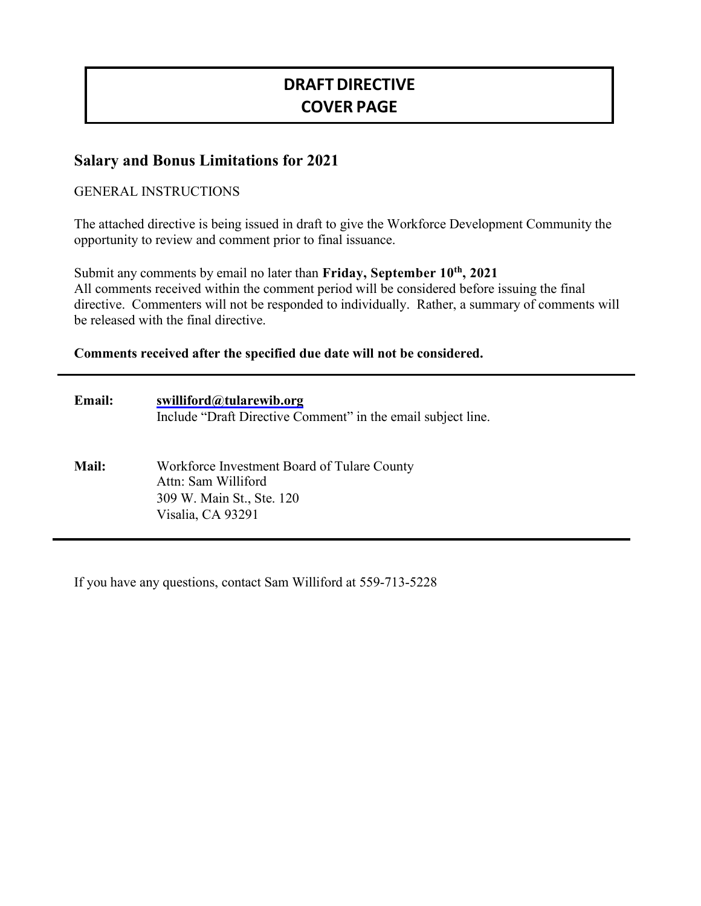# **DRAFTDIRECTIVE COVER PAGE**

# **Salary and Bonus Limitations for 2021**

#### GENERAL INSTRUCTIONS

The attached directive is being issued in draft to give the Workforce Development Community the opportunity to review and comment prior to final issuance.

Submit any comments by email no later than **Friday**, September 10<sup>th</sup>, 2021 All comments received within the comment period will be considered before issuing the final directive. Commenters will not be responded to individually. Rather, a summary of comments will be released with the final directive.

#### **Comments received after the specified due date will not be considered.**

| <b>Email:</b> | swilliford@tularewib.org<br>Include "Draft Directive Comment" in the email subject line.                             |
|---------------|----------------------------------------------------------------------------------------------------------------------|
| <b>Mail:</b>  | Workforce Investment Board of Tulare County<br>Attn: Sam Williford<br>309 W. Main St., Ste. 120<br>Visalia, CA 93291 |

If you have any questions, contact Sam Williford at 559-713-5228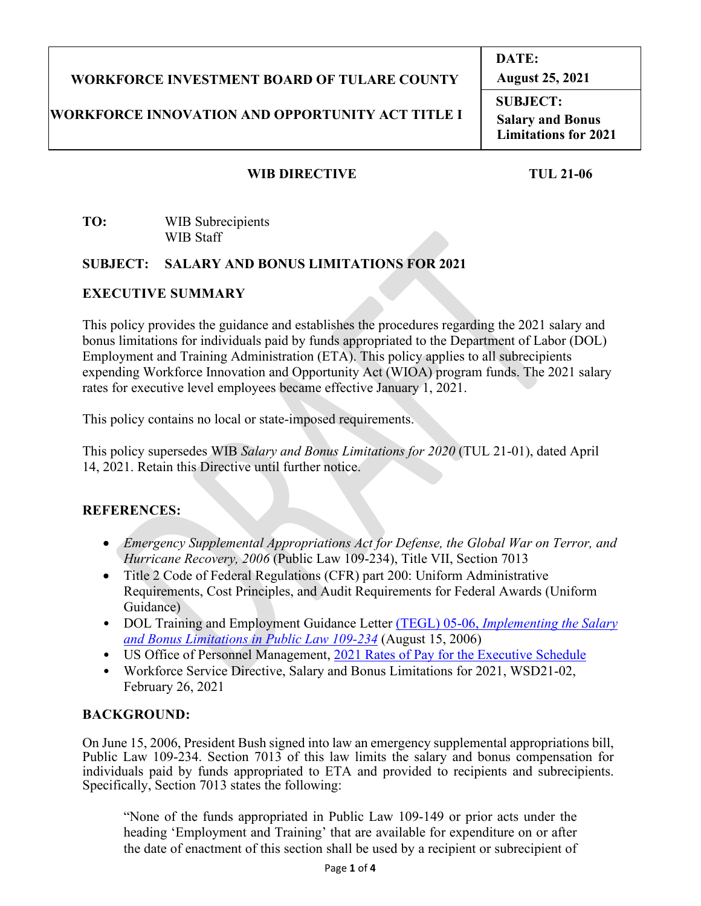# **WORKFORCE INVESTMENT BOARD OF TULARE COUNTY**

# **WORKFORCE INNOVATION AND OPPORTUNITY ACT TITLE I**

**DATE: August 25, 2021**

**SUBJECT: Salary and Bonus Limitations for 2021**

#### **WIB DIRECTIVE TUL 21-06**

#### **TO:** WIB Subrecipients WIB Staff

#### **SUBJECT: SALARY AND BONUS LIMITATIONS FOR 2021**

#### **EXECUTIVE SUMMARY**

This policy provides the guidance and establishes the procedures regarding the 2021 salary and bonus limitations for individuals paid by funds appropriated to the Department of Labor (DOL) Employment and Training Administration (ETA). This policy applies to all subrecipients expending Workforce Innovation and Opportunity Act (WIOA) program funds. The 2021 salary rates for executive level employees became effective January 1, 2021.

This policy contains no local or state-imposed requirements.

This policy supersedes WIB *Salary and Bonus Limitations for 2020* (TUL 21-01), dated April 14, 2021. Retain this Directive until further notice.

# **REFERENCES:**

- *Emergency Supplemental Appropriations Act for Defense, the Global War on Terror, and Hurricane Recovery, 2006* (Public Law 109-234), Title VII, Section 7013
- Title 2 Code of Federal Regulations (CFR) part 200: Uniform Administrative Requirements, Cost Principles, and Audit Requirements for Federal Awards (Uniform Guidance)
- DOL Training and Employment Guidance Letter (TEGL) 05-06, *[Implementing the Salary](https://wdr.doleta.gov/directives/attach/TEGL/TEGL05-06.pdf)  [and Bonus Limitations in Public Law 109-234](https://wdr.doleta.gov/directives/attach/TEGL/TEGL05-06.pdf)* (August 15, 2006)
- US Office of Personnel Management, 2021 [Rates of Pay for the Executive Schedule](https://www.opm.gov/policy-data-oversight/pay-leave/salaries-wages/salary-tables/pdf/2021/EX.pdf)
- Workforce Service Directive, Salary and Bonus Limitations for 2021, WSD21-02, February 26, 2021

# **BACKGROUND:**

On June 15, 2006, President Bush signed into law an emergency supplemental appropriations bill, Public Law 109-234. Section 7013 of this law limits the salary and bonus compensation for individuals paid by funds appropriated to ETA and provided to recipients and subrecipients. Specifically, Section 7013 states the following:

"None of the funds appropriated in Public Law 109-149 or prior acts under the heading 'Employment and Training' that are available for expenditure on or after the date of enactment of this section shall be used by a recipient or subrecipient of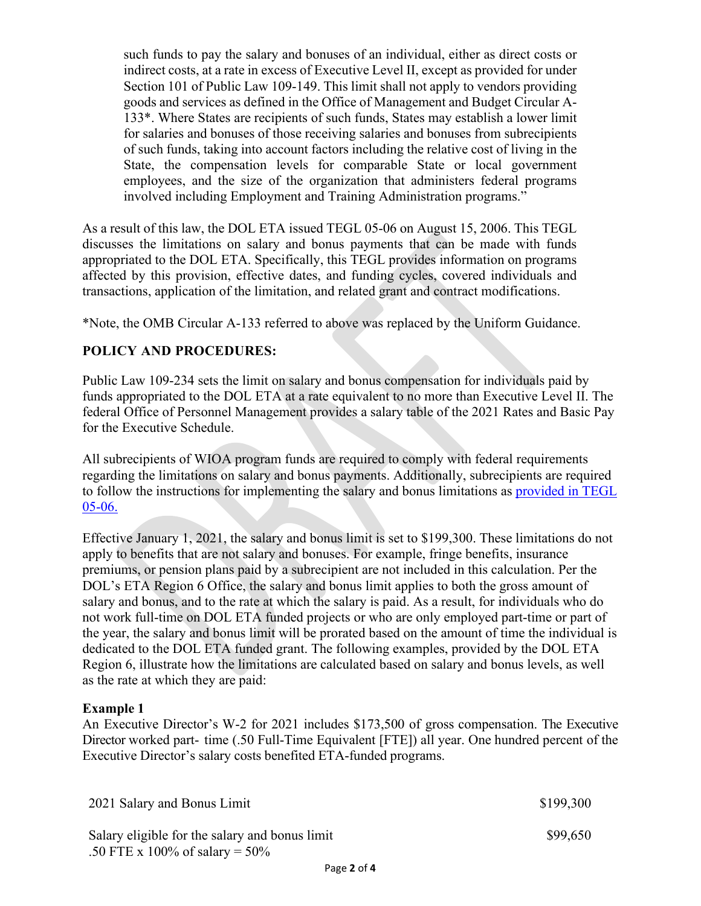such funds to pay the salary and bonuses of an individual, either as direct costs or indirect costs, at a rate in excess of Executive Level II, except as provided for under Section 101 of Public Law 109-149. This limit shall not apply to vendors providing goods and services as defined in the Office of Management and Budget Circular A-133\*. Where States are recipients of such funds, States may establish a lower limit for salaries and bonuses of those receiving salaries and bonuses from subrecipients of such funds, taking into account factors including the relative cost of living in the State, the compensation levels for comparable State or local government employees, and the size of the organization that administers federal programs involved including Employment and Training Administration programs."

As a result of this law, the DOL ETA issued TEGL 05-06 on August 15, 2006. This TEGL discusses the limitations on salary and bonus payments that can be made with funds appropriated to the DOL ETA. Specifically, this TEGL provides information on programs affected by this provision, effective dates, and funding cycles, covered individuals and transactions, application of the limitation, and related grant and contract modifications.

\*Note, the OMB Circular A-133 referred to above was replaced by the Uniform Guidance.

#### **POLICY AND PROCEDURES:**

Public Law 109-234 sets the limit on salary and bonus compensation for individuals paid by funds appropriated to the DOL ETA at a rate equivalent to no more than Executive Level II. The federal Office of Personnel Management provides a salary table of the 2021 Rates and Basic Pay for the Executive Schedule.

All subrecipients of WIOA program funds are required to comply with federal requirements regarding the limitations on salary and bonus payments. Additionally, subrecipients are required to follow the instructions for implementing the salary and bonus limitations as [provided in TEGL](https://wdr.doleta.gov/directives/attach/TEGL/TEGL05-06.pdf)  [05-06.](https://wdr.doleta.gov/directives/attach/TEGL/TEGL05-06.pdf)

Effective January 1, 2021, the salary and bonus limit is set to \$199,300. These limitations do not apply to benefits that are not salary and bonuses. For example, fringe benefits, insurance premiums, or pension plans paid by a subrecipient are not included in this calculation. Per the DOL's ETA Region 6 Office, the salary and bonus limit applies to both the gross amount of salary and bonus, and to the rate at which the salary is paid. As a result, for individuals who do not work full-time on DOL ETA funded projects or who are only employed part-time or part of the year, the salary and bonus limit will be prorated based on the amount of time the individual is dedicated to the DOL ETA funded grant. The following examples, provided by the DOL ETA Region 6, illustrate how the limitations are calculated based on salary and bonus levels, as well as the rate at which they are paid:

#### **Example 1**

An Executive Director's W-2 for 2021 includes \$173,500 of gross compensation. The Executive Director worked part- time (.50 Full-Time Equivalent [FTE]) all year. One hundred percent of the Executive Director's salary costs benefited ETA-funded programs.

| 2021 Salary and Bonus Limit                                                         | \$199,300 |
|-------------------------------------------------------------------------------------|-----------|
| Salary eligible for the salary and bonus limit<br>.50 FTE x 100% of salary = $50\%$ | \$99,650  |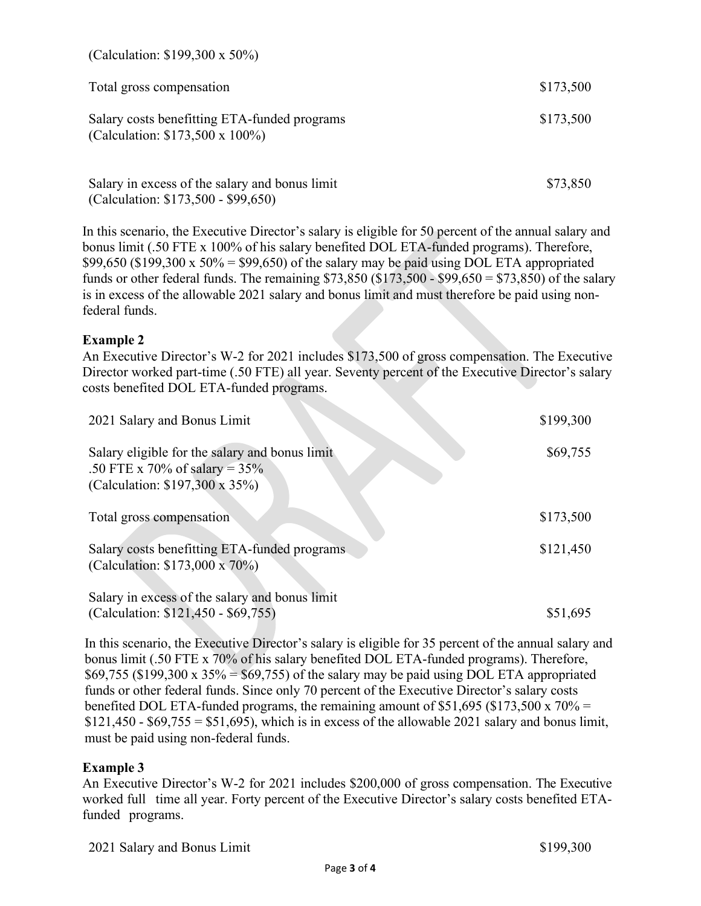| (Calculation: $$199,300 \times 50\%$ )                                                |           |
|---------------------------------------------------------------------------------------|-----------|
| Total gross compensation                                                              | \$173,500 |
| Salary costs benefitting ETA-funded programs<br>(Calculation: \$173,500 x 100%)       | \$173,500 |
| Salary in excess of the salary and bonus limit<br>(Calculation: \$173,500 - \$99,650) | \$73,850  |

In this scenario, the Executive Director's salary is eligible for 50 percent of the annual salary and bonus limit (.50 FTE x 100% of his salary benefited DOL ETA-funded programs). Therefore,  $$99,650$  (\$199,300 x  $50\%$  = \$99,650) of the salary may be paid using DOL ETA appropriated funds or other federal funds. The remaining  $$73,850$  ( $$173,500 - $99,650 = $73,850$ ) of the salary is in excess of the allowable 2021 salary and bonus limit and must therefore be paid using nonfederal funds.

#### **Example 2**

An Executive Director's W-2 for 2021 includes \$173,500 of gross compensation. The Executive Director worked part-time (.50 FTE) all year. Seventy percent of the Executive Director's salary costs benefited DOL ETA-funded programs.

| 2021 Salary and Bonus Limit                                                                                                 | \$199,300 |
|-----------------------------------------------------------------------------------------------------------------------------|-----------|
| Salary eligible for the salary and bonus limit<br>.50 FTE x 70% of salary = $35%$<br>(Calculation: $$197,300 \times 35\%$ ) | \$69,755  |
| Total gross compensation                                                                                                    | \$173,500 |
| Salary costs benefitting ETA-funded programs<br>(Calculation: \$173,000 x 70%)                                              | \$121,450 |
| Salary in excess of the salary and bonus limit<br>(Calculation: \$121,450 - \$69,755)                                       | \$51,695  |

In this scenario, the Executive Director's salary is eligible for 35 percent of the annual salary and bonus limit (.50 FTE x 70% of his salary benefited DOL ETA-funded programs). Therefore,  $$69,755$  (\$199,300 x 35% = \$69,755) of the salary may be paid using DOL ETA appropriated funds or other federal funds. Since only 70 percent of the Executive Director's salary costs benefited DOL ETA-funded programs, the remaining amount of \$51,695 (\$173,500 x  $70\%$  =  $$121,450 - $69,755 = $51,695$ , which is in excess of the allowable 2021 salary and bonus limit, must be paid using non-federal funds.

#### **Example 3**

An Executive Director's W-2 for 2021 includes \$200,000 of gross compensation. The Executive worked full time all year. Forty percent of the Executive Director's salary costs benefited ETAfunded programs.

2021 Salary and Bonus Limit  $$199,300$